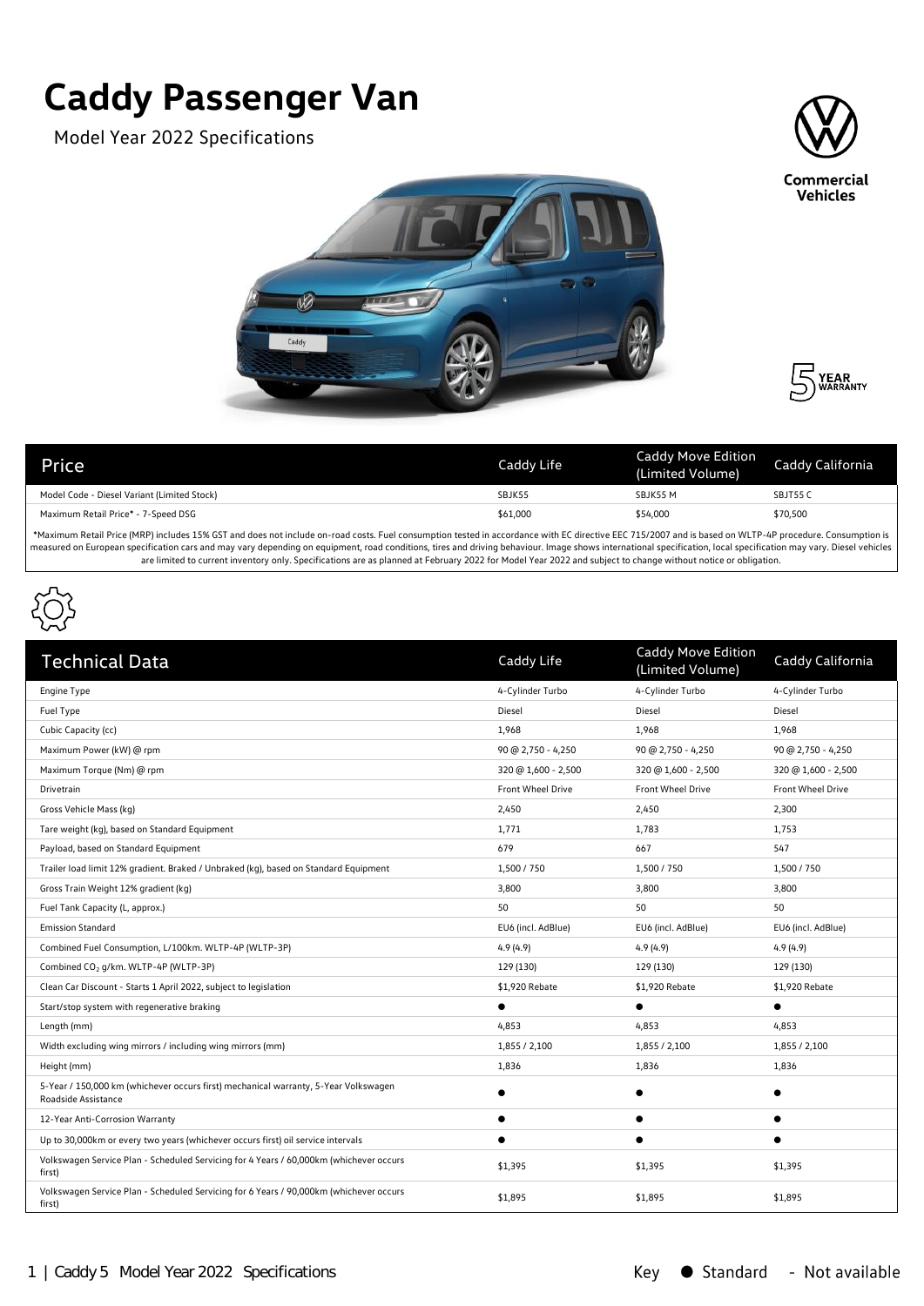## **Caddy Passenger Van**

Model Year 2022 Specifications







| <b>Price</b>                                | Caddy Life | Caddy Move Edition<br>(Limited Volume) | Caddy California |
|---------------------------------------------|------------|----------------------------------------|------------------|
| Model Code - Diesel Variant (Limited Stock) | SBJK55     | SBJK55 M                               | SBJT55 C         |
| Maximum Retail Price* - 7-Speed DSG         | \$61,000   | \$54,000                               | \$70,500         |

\*Maximum Retail Price (MRP) includes 15% GST and does not include on-road costs. Fuel consumption tested in accordance with EC directive EEC 715/2007 and is based on WLTP-4P procedure. Consumption is measured on European specification cars and may vary depending on equipment, road conditions, tires and driving behaviour. Image shows international specification, local specification may vary. Diesel vehicles are limited to current inventory only. Specifications are as planned at February 2022 for Model Year 2022 and subject to change without notice or obligation.



| <b>Technical Data</b>                                                                                      | Caddy Life               | Caddy Move Edition<br>(Limited Volume) | Caddy California         |
|------------------------------------------------------------------------------------------------------------|--------------------------|----------------------------------------|--------------------------|
| Engine Type                                                                                                | 4-Cylinder Turbo         | 4-Cylinder Turbo                       | 4-Cylinder Turbo         |
| Fuel Type                                                                                                  | Diesel                   | Diesel                                 | Diesel                   |
| Cubic Capacity (cc)                                                                                        | 1,968                    | 1,968                                  | 1,968                    |
| Maximum Power (kW) @ rpm                                                                                   | $90 @ 2,750 - 4,250$     | 90 @ 2,750 - 4,250                     | $90 @ 2,750 - 4,250$     |
| Maximum Torque (Nm) @ rpm                                                                                  | 320 @ 1,600 - 2,500      | 320 @ 1,600 - 2,500                    | 320 @ 1,600 - 2,500      |
| Drivetrain                                                                                                 | <b>Front Wheel Drive</b> | <b>Front Wheel Drive</b>               | <b>Front Wheel Drive</b> |
| Gross Vehicle Mass (kg)                                                                                    | 2,450                    | 2,450                                  | 2,300                    |
| Tare weight (kg), based on Standard Equipment                                                              | 1,771                    | 1,783                                  | 1,753                    |
| Payload, based on Standard Equipment                                                                       | 679                      | 667                                    | 547                      |
| Trailer load limit 12% gradient. Braked / Unbraked (kg), based on Standard Equipment                       | 1,500 / 750              | 1,500 / 750                            | 1,500 / 750              |
| Gross Train Weight 12% gradient (kg)                                                                       | 3,800                    | 3,800                                  | 3,800                    |
| Fuel Tank Capacity (L, approx.)                                                                            | 50                       | 50                                     | 50                       |
| <b>Emission Standard</b>                                                                                   | EU6 (incl. AdBlue)       | EU6 (incl. AdBlue)                     | EU6 (incl. AdBlue)       |
| Combined Fuel Consumption, L/100km. WLTP-4P (WLTP-3P)                                                      | 4.9(4.9)                 | 4.9(4.9)                               | 4.9(4.9)                 |
| Combined CO <sub>2</sub> g/km. WLTP-4P (WLTP-3P)                                                           | 129 (130)                | 129 (130)                              | 129 (130)                |
| Clean Car Discount - Starts 1 April 2022, subject to legislation                                           | \$1,920 Rebate           | \$1,920 Rebate                         | \$1,920 Rebate           |
| Start/stop system with regenerative braking                                                                |                          | $\bullet$                              | $\bullet$                |
| Length (mm)                                                                                                | 4,853                    | 4,853                                  | 4,853                    |
| Width excluding wing mirrors / including wing mirrors (mm)                                                 | 1,855 / 2,100            | 1,855 / 2,100                          | 1,855 / 2,100            |
| Height (mm)                                                                                                | 1,836                    | 1,836                                  | 1,836                    |
| 5-Year / 150,000 km (whichever occurs first) mechanical warranty, 5-Year Volkswagen<br>Roadside Assistance |                          |                                        | $\bullet$                |
| 12-Year Anti-Corrosion Warranty                                                                            |                          | $\bullet$                              | $\bullet$                |
| Up to 30,000km or every two years (whichever occurs first) oil service intervals                           |                          |                                        |                          |
| Volkswagen Service Plan - Scheduled Servicing for 4 Years / 60,000km (whichever occurs<br>first)           | \$1,395                  | \$1,395                                | \$1,395                  |
| Volkswagen Service Plan - Scheduled Servicing for 6 Years / 90,000km (whichever occurs<br>first)           | \$1,895                  | \$1,895                                | \$1,895                  |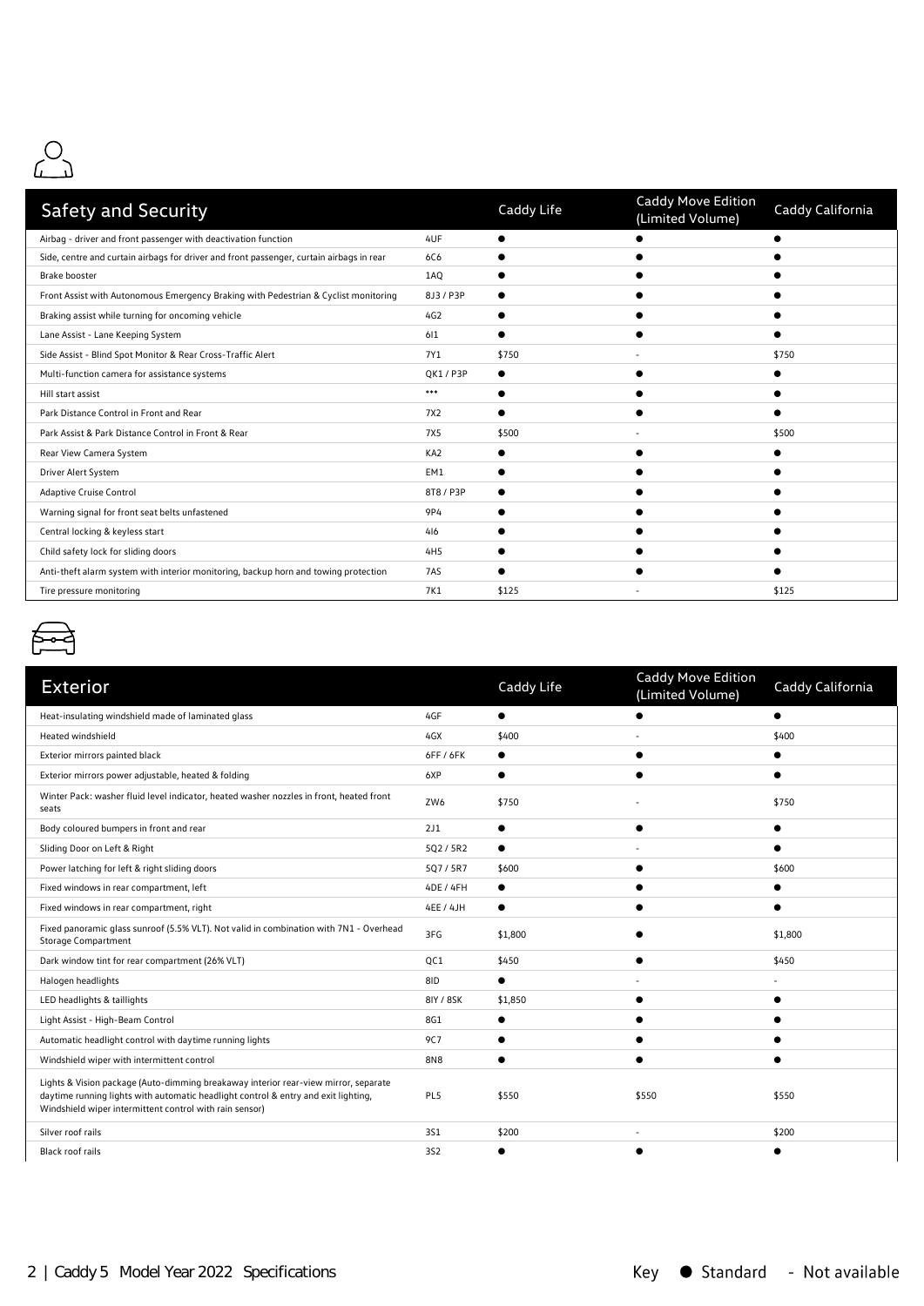

| <b>Safety and Security</b>                                                               |                 | Caddy Life | Caddy Move Edition<br>(Limited Volume) | Caddy California |
|------------------------------------------------------------------------------------------|-----------------|------------|----------------------------------------|------------------|
| Airbag - driver and front passenger with deactivation function                           | 4UF             |            |                                        |                  |
| Side, centre and curtain airbags for driver and front passenger, curtain airbags in rear | 6C6             |            |                                        |                  |
| <b>Brake booster</b>                                                                     | 1AQ             |            |                                        |                  |
| Front Assist with Autonomous Emergency Braking with Pedestrian & Cyclist monitoring      | 8J3 / P3P       |            |                                        |                  |
| Braking assist while turning for oncoming vehicle                                        | 4G2             |            |                                        |                  |
| Lane Assist - Lane Keeping System                                                        | 611             |            |                                        |                  |
| Side Assist - Blind Spot Monitor & Rear Cross-Traffic Alert                              | 7Y1             | \$750      |                                        | \$750            |
| Multi-function camera for assistance systems                                             | QK1 / P3P       |            |                                        |                  |
| Hill start assist                                                                        | ***             |            |                                        |                  |
| Park Distance Control in Front and Rear                                                  | 7X2             |            |                                        |                  |
| Park Assist & Park Distance Control in Front & Rear                                      | <b>7X5</b>      | \$500      |                                        | \$500            |
| Rear View Camera System                                                                  | KA <sub>2</sub> |            |                                        |                  |
| Driver Alert System                                                                      | EM1             |            |                                        |                  |
| <b>Adaptive Cruise Control</b>                                                           | 8T8 / P3P       |            |                                        |                  |
| Warning signal for front seat belts unfastened                                           | 9P4             |            |                                        |                  |
| Central locking & keyless start                                                          | 416             |            |                                        |                  |
| Child safety lock for sliding doors                                                      | 4H <sub>5</sub> |            |                                        |                  |
| Anti-theft alarm system with interior monitoring, backup horn and towing protection      | 7AS             |            |                                        |                  |
| Tire pressure monitoring                                                                 | 7K1             | \$125      |                                        | \$125            |



| <b>Exterior</b>                                                                                                                                                                                                                      |                 | Caddy Life | Caddy Move Edition<br>(Limited Volume) | Caddy California |
|--------------------------------------------------------------------------------------------------------------------------------------------------------------------------------------------------------------------------------------|-----------------|------------|----------------------------------------|------------------|
| Heat-insulating windshield made of laminated glass                                                                                                                                                                                   | 4GF             |            |                                        |                  |
| Heated windshield                                                                                                                                                                                                                    | 4GX             | \$400      |                                        | \$400            |
| Exterior mirrors painted black                                                                                                                                                                                                       | 6FF / 6FK       |            |                                        |                  |
| Exterior mirrors power adjustable, heated & folding                                                                                                                                                                                  | 6XP             | ●          |                                        |                  |
| Winter Pack: washer fluid level indicator, heated washer nozzles in front, heated front<br>seats                                                                                                                                     | ZW6             | \$750      |                                        | \$750            |
| Body coloured bumpers in front and rear                                                                                                                                                                                              | 2J1             | $\bullet$  |                                        |                  |
| Sliding Door on Left & Right                                                                                                                                                                                                         | 5Q2 / 5R2       |            |                                        |                  |
| Power latching for left & right sliding doors                                                                                                                                                                                        | 5Q7/5R7         | \$600      |                                        | \$600            |
| Fixed windows in rear compartment, left                                                                                                                                                                                              | 4DE / 4FH       | $\bullet$  |                                        |                  |
| Fixed windows in rear compartment, right                                                                                                                                                                                             | 4EE / 4JH       | $\bullet$  |                                        |                  |
| Fixed panoramic glass sunroof (5.5% VLT). Not valid in combination with 7N1 - Overhead<br><b>Storage Compartment</b>                                                                                                                 | 3FG             | \$1,800    |                                        | \$1,800          |
| Dark window tint for rear compartment (26% VLT)                                                                                                                                                                                      | QC1             | \$450      |                                        | \$450            |
| Halogen headlights                                                                                                                                                                                                                   | 8ID             |            |                                        |                  |
| LED headlights & taillights                                                                                                                                                                                                          | 8IY / 8SK       | \$1,850    |                                        |                  |
| Light Assist - High-Beam Control                                                                                                                                                                                                     | 8G1             |            |                                        |                  |
| Automatic headlight control with daytime running lights                                                                                                                                                                              | 9C7             |            |                                        |                  |
| Windshield wiper with intermittent control                                                                                                                                                                                           | <b>8N8</b>      |            |                                        |                  |
| Lights & Vision package (Auto-dimming breakaway interior rear-view mirror, separate<br>daytime running lights with automatic headlight control & entry and exit lighting,<br>Windshield wiper intermittent control with rain sensor) | PL5             | \$550      | \$550                                  | \$550            |
| Silver roof rails                                                                                                                                                                                                                    | 351             | \$200      | $\overline{\phantom{a}}$               | \$200            |
| <b>Black roof rails</b>                                                                                                                                                                                                              | 3S <sub>2</sub> |            |                                        |                  |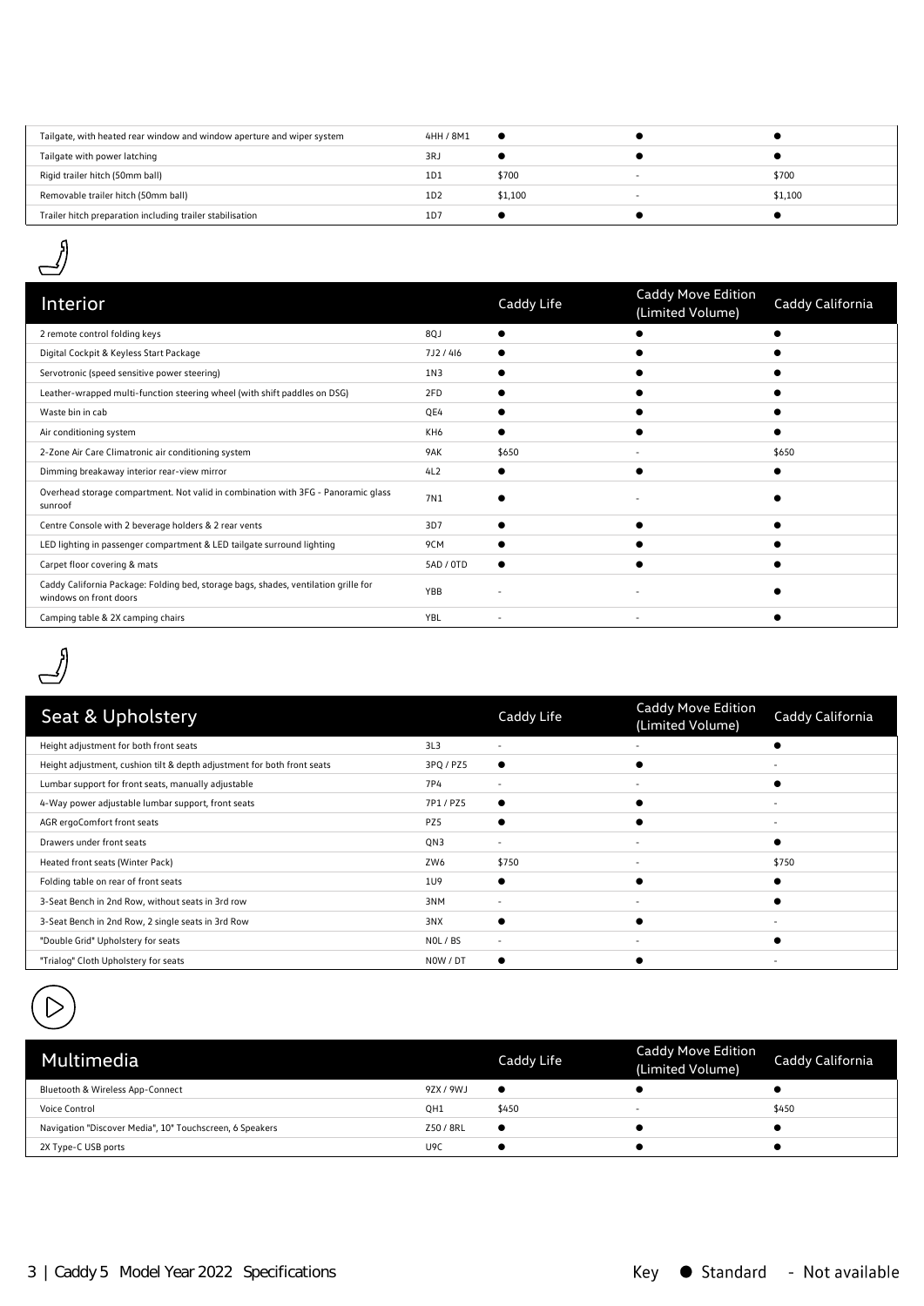| Tailgate, with heated rear window and window aperture and wiper system | 4HH / 8M1 |         |         |
|------------------------------------------------------------------------|-----------|---------|---------|
| Tailgate with power latching                                           | 3RJ       |         |         |
| Rigid trailer hitch (50mm ball)                                        | 1D1       | \$700   | \$700   |
| Removable trailer hitch (50mm ball)                                    | 1D2       | \$1,100 | \$1,100 |
| Trailer hitch preparation including trailer stabilisation              | 1D7       |         |         |
|                                                                        |           |         |         |



| Interior                                                                                                      |           | Caddy Life               | <b>Caddy Move Edition</b><br>(Limited Volume) | Caddy California |
|---------------------------------------------------------------------------------------------------------------|-----------|--------------------------|-----------------------------------------------|------------------|
| 2 remote control folding keys                                                                                 | 8QJ       |                          |                                               |                  |
| Digital Cockpit & Keyless Start Package                                                                       | 7J2/416   |                          |                                               |                  |
| Servotronic (speed sensitive power steering)                                                                  | 1N3       |                          |                                               |                  |
| Leather-wrapped multi-function steering wheel (with shift paddles on DSG)                                     | 2FD       |                          |                                               |                  |
| Waste bin in cab                                                                                              | QE4       |                          |                                               |                  |
| Air conditioning system                                                                                       | KH6       |                          |                                               |                  |
| 2-Zone Air Care Climatronic air conditioning system                                                           | 9AK       | \$650                    |                                               | \$650            |
| Dimming breakaway interior rear-view mirror                                                                   | 4L2       |                          |                                               |                  |
| Overhead storage compartment. Not valid in combination with 3FG - Panoramic glass<br>sunroof                  | 7N1       |                          |                                               |                  |
| Centre Console with 2 beverage holders & 2 rear vents                                                         | 3D7       |                          |                                               |                  |
| LED lighting in passenger compartment & LED tailgate surround lighting                                        | 9CM       |                          |                                               |                  |
| Carpet floor covering & mats                                                                                  | 5AD / 0TD |                          |                                               |                  |
| Caddy California Package: Folding bed, storage bags, shades, ventilation grille for<br>windows on front doors | YBB       |                          |                                               |                  |
| Camping table & 2X camping chairs                                                                             | YBL       | $\overline{\phantom{a}}$ | ٠                                             |                  |



|                 | Caddy Life               | <b>Caddy Move Edition</b><br>(Limited Volume) | Caddy California         |
|-----------------|--------------------------|-----------------------------------------------|--------------------------|
| 3L <sub>3</sub> | $\overline{\phantom{a}}$ |                                               |                          |
| 3PQ / PZ5       |                          |                                               |                          |
| 7P4             | $\overline{\phantom{a}}$ |                                               |                          |
| 7P1/PZ5         |                          |                                               |                          |
| PZ5             |                          |                                               |                          |
| QN3             |                          |                                               |                          |
| ZW6             | \$750                    |                                               | \$750                    |
| 1U9             |                          |                                               |                          |
| 3NM             |                          |                                               |                          |
| 3NX             |                          |                                               | -                        |
| NOL / BS        | $\overline{\phantom{a}}$ |                                               |                          |
| NOW / DT        |                          |                                               | $\overline{\phantom{a}}$ |
|                 |                          |                                               |                          |



| Multimedia                                               |                 | Caddy Life | <b>Caddy Move Edition</b><br>(Limited Volume) | Caddy California |
|----------------------------------------------------------|-----------------|------------|-----------------------------------------------|------------------|
| Bluetooth & Wireless App-Connect                         | 9ZX / 9WJ       | $\bullet$  |                                               |                  |
| Voice Control                                            | OH <sub>1</sub> | \$450      | $\overline{\phantom{0}}$                      | \$450            |
| Navigation "Discover Media", 10" Touchscreen, 6 Speakers | Z50 / 8RL       | ٠          |                                               |                  |
| 2X Type-C USB ports                                      | U9C             |            |                                               |                  |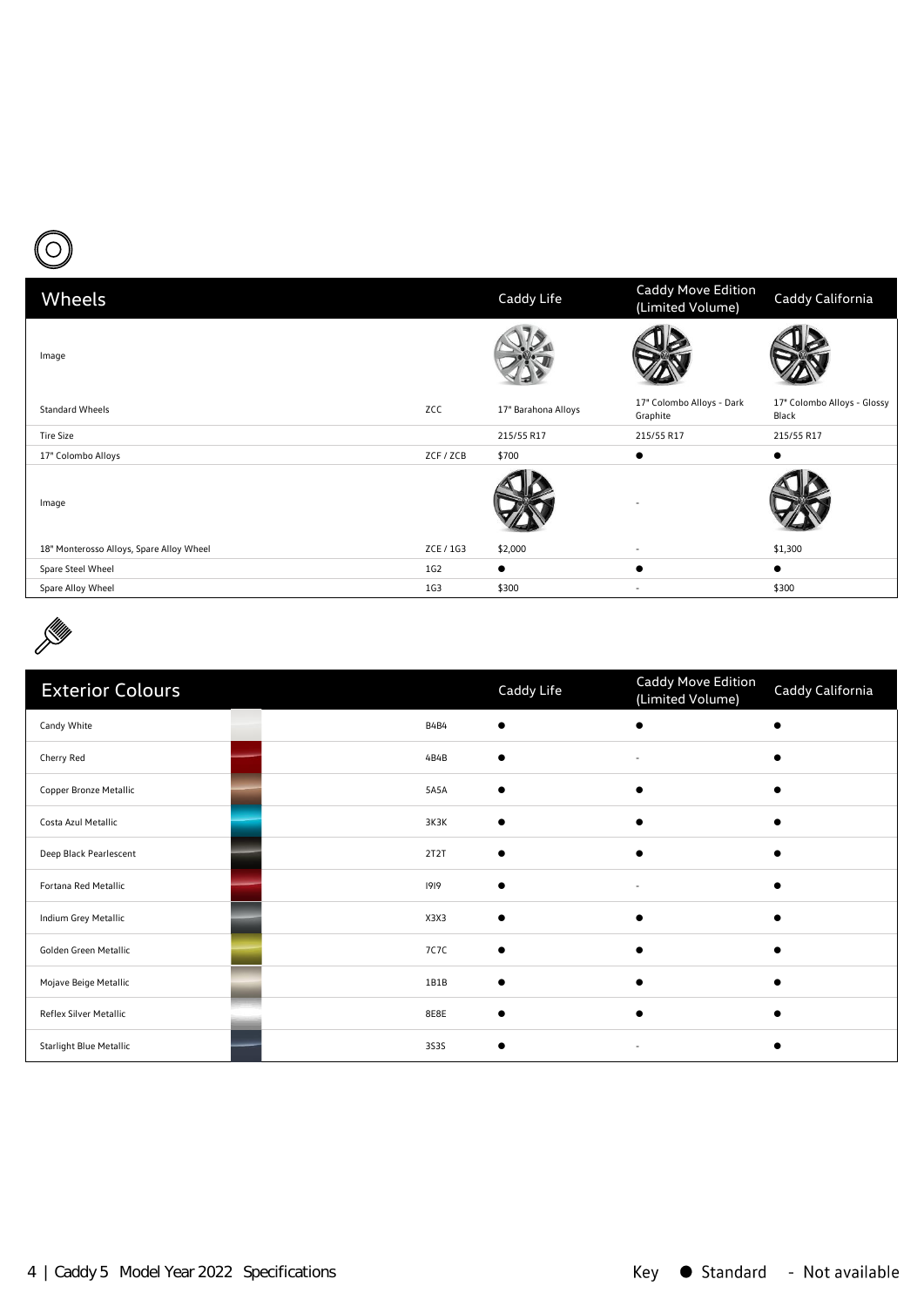

| Wheels                                   |           | Caddy Life          | <b>Caddy Move Edition</b><br>(Limited Volume) | Caddy California                     |
|------------------------------------------|-----------|---------------------|-----------------------------------------------|--------------------------------------|
| Image                                    |           |                     |                                               |                                      |
| <b>Standard Wheels</b>                   | ZCC       | 17" Barahona Alloys | 17" Colombo Alloys - Dark<br>Graphite         | 17" Colombo Alloys - Glossy<br>Black |
| <b>Tire Size</b>                         |           | 215/55 R17          | 215/55 R17                                    | 215/55 R17                           |
| 17" Colombo Alloys                       | ZCF / ZCB | \$700               | $\bullet$                                     | $\bullet$                            |
| Image                                    |           |                     |                                               |                                      |
| 18" Monterosso Alloys, Spare Alloy Wheel | ZCE / 1G3 | \$2,000             | $\overline{\phantom{a}}$                      | \$1,300                              |
| Spare Steel Wheel                        | 1G2       | $\bullet$           | $\bullet$                                     | $\bullet$                            |
| Spare Alloy Wheel                        | 1G3       | \$300               | $\overline{\phantom{a}}$                      | \$300                                |
|                                          |           |                     |                                               |                                      |



| <b>Exterior Colours</b>        |             | Caddy Life | Caddy Move Edition<br>(Limited Volume) | Caddy California |
|--------------------------------|-------------|------------|----------------------------------------|------------------|
| Candy White                    | <b>B4B4</b> |            |                                        |                  |
| Cherry Red                     | 4B4B        |            | $\overline{\phantom{a}}$               |                  |
| Copper Bronze Metallic         | 5A5A        |            | ∙                                      |                  |
| Costa Azul Metallic            | 3K3K        |            |                                        |                  |
| Deep Black Pearlescent         | 2T2T        |            | $\epsilon$                             |                  |
| Fortana Red Metallic           | 1919        |            | $\overline{\phantom{a}}$               |                  |
| Indium Grey Metallic           | X3X3        |            | $\epsilon$                             |                  |
| Golden Green Metallic          | 7C7C        |            |                                        |                  |
| Mojave Beige Metallic          | 1B1B        |            |                                        |                  |
| Reflex Silver Metallic         | 8E8E        |            |                                        |                  |
| <b>Starlight Blue Metallic</b> | 3535        |            | $\sim$                                 |                  |